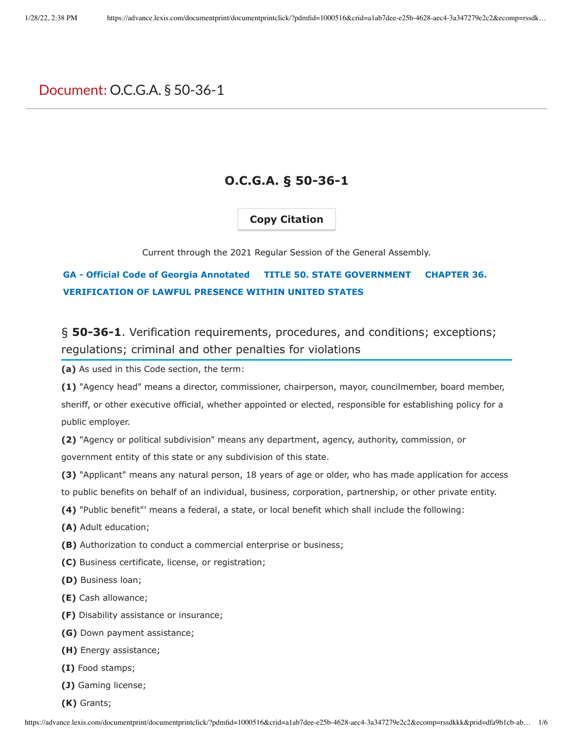# Document: O.C.G.A. § 50-36-1

# **O.C.G.A. § 50-36-1**

### **Copy Citation**

Current through the 2021 Regular Session of the General Assembly.

## **GA - Official Code of Georgia Annotated TITLE 50. STATE GOVERNMENT CHAPTER 36. VERIFICATION OF LAWFUL PRESENCE WITHIN UNITED STATES**

§ **50-36-1**. Verification requirements, procedures, and conditions; exceptions; regulations; criminal and other penalties for violations

**(a)** As used in this Code section, the term:

**(1)** "Agency head" means a director, commissioner, chairperson, mayor, councilmember, board member, sheriff, or other executive official, whether appointed or elected, responsible for establishing policy for a public employer.

**(2)** "Agency or political subdivision" means any department, agency, authority, commission, or government entity of this state or any subdivision of this state.

**(3)** "Applicant" means any natural person, 18 years of age or older, who has made application for access to public benefits on behalf of an individual, business, corporation, partnership, or other private entity.

- **(4)** "Public benefit"' means a federal, a state, or local benefit which shall include the following:
- **(A)** Adult education;
- **(B)** Authorization to conduct a commercial enterprise or business;
- **(C)** Business certificate, license, or registration;
- **(D)** Business loan;
- **(E)** Cash allowance;
- **(F)** Disability assistance or insurance;
- **(G)** Down payment assistance;
- **(H)** Energy assistance;
- **(I)** Food stamps;
- **(J)** Gaming license;
- **(K)** Grants;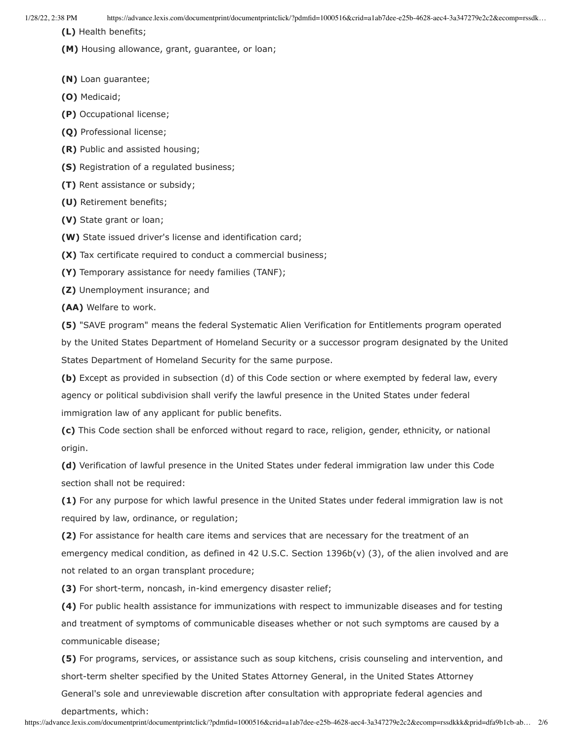1/28/22, 2:38 PM https://advance.lexis.com/documentprint/documentprintclick/?pdmfid=1000516&crid=a1ab7dee-e25b-4628-aec4-3a347279e2c2&ecomp=rssdk…

**(L)** Health benefits;

**(M)** Housing allowance, grant, guarantee, or loan;

**(N)** Loan guarantee;

**(O)** Medicaid;

**(P)** Occupational license;

**(Q)** Professional license;

**(R)** Public and assisted housing;

**(S)** Registration of a regulated business;

**(T)** Rent assistance or subsidy;

**(U)** Retirement benefits;

**(V)** State grant or loan;

**(W)** State issued driver's license and identification card;

**(X)** Tax certificate required to conduct a commercial business;

**(Y)** Temporary assistance for needy families (TANF);

**(Z)** Unemployment insurance; and

**(AA)** Welfare to work.

**(5)** "SAVE program" means the federal Systematic Alien Verification for Entitlements program operated by the United States Department of Homeland Security or a successor program designated by the United States Department of Homeland Security for the same purpose.

**(b)** Except as provided in subsection (d) of this Code section or where exempted by federal law, every agency or political subdivision shall verify the lawful presence in the United States under federal immigration law of any applicant for public benefits.

**(c)** This Code section shall be enforced without regard to race, religion, gender, ethnicity, or national origin.

**(d)** Verification of lawful presence in the United States under federal immigration law under this Code section shall not be required:

**(1)** For any purpose for which lawful presence in the United States under federal immigration law is not required by law, ordinance, or regulation;

**(2)** For assistance for health care items and services that are necessary for the treatment of an emergency medical condition, as defined in 42 U.S.C. Section 1396b(v) (3), of the alien involved and are not related to an organ transplant procedure;

**(3)** For short-term, noncash, in-kind emergency disaster relief;

**(4)** For public health assistance for immunizations with respect to immunizable diseases and for testing and treatment of symptoms of communicable diseases whether or not such symptoms are caused by a communicable disease;

**(5)** For programs, services, or assistance such as soup kitchens, crisis counseling and intervention, and short-term shelter specified by the United States Attorney General, in the United States Attorney

General's sole and unreviewable discretion after consultation with appropriate federal agencies and

departments, which: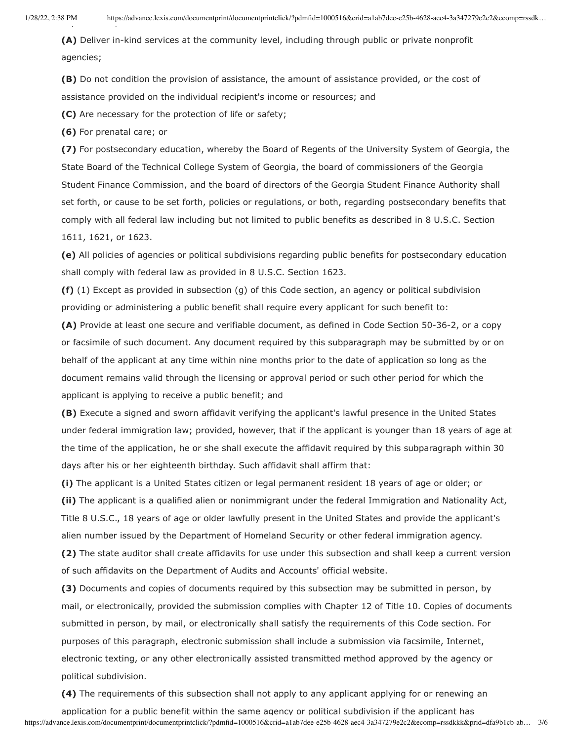**(A)** Deliver in-kind services at the community level, including through public or private nonprofit agencies;

**(B)** Do not condition the provision of assistance, the amount of assistance provided, or the cost of assistance provided on the individual recipient's income or resources; and

**(C)** Are necessary for the protection of life or safety;

**(6)** For prenatal care; or

**(7)** For postsecondary education, whereby the Board of Regents of the University System of Georgia, the State Board of the Technical College System of Georgia, the board of commissioners of the Georgia Student Finance Commission, and the board of directors of the Georgia Student Finance Authority shall set forth, or cause to be set forth, policies or regulations, or both, regarding postsecondary benefits that comply with all federal law including but not limited to public benefits as described in 8 U.S.C. Section 1611, 1621, or 1623.

**(e)** All policies of agencies or political subdivisions regarding public benefits for postsecondary education shall comply with federal law as provided in 8 U.S.C. Section 1623.

**(f)** (1) Except as provided in subsection (g) of this Code section, an agency or political subdivision providing or administering a public benefit shall require every applicant for such benefit to:

**(A)** Provide at least one secure and verifiable document, as defined in Code Section 50-36-2, or a copy or facsimile of such document. Any document required by this subparagraph may be submitted by or on behalf of the applicant at any time within nine months prior to the date of application so long as the document remains valid through the licensing or approval period or such other period for which the applicant is applying to receive a public benefit; and

**(B)** Execute a signed and sworn affidavit verifying the applicant's lawful presence in the United States under federal immigration law; provided, however, that if the applicant is younger than 18 years of age at the time of the application, he or she shall execute the affidavit required by this subparagraph within 30 days after his or her eighteenth birthday. Such affidavit shall affirm that:

**(i)** The applicant is a United States citizen or legal permanent resident 18 years of age or older; or **(ii)** The applicant is a qualified alien or nonimmigrant under the federal Immigration and Nationality Act, Title 8 U.S.C., 18 years of age or older lawfully present in the United States and provide the applicant's alien number issued by the Department of Homeland Security or other federal immigration agency.

**(2)** The state auditor shall create affidavits for use under this subsection and shall keep a current version of such affidavits on the Department of Audits and Accounts' official website.

**(3)** Documents and copies of documents required by this subsection may be submitted in person, by mail, or electronically, provided the submission complies with Chapter 12 of Title 10. Copies of documents submitted in person, by mail, or electronically shall satisfy the requirements of this Code section. For purposes of this paragraph, electronic submission shall include a submission via facsimile, Internet, electronic texting, or any other electronically assisted transmitted method approved by the agency or political subdivision.

**(4)** The requirements of this subsection shall not apply to any applicant applying for or renewing an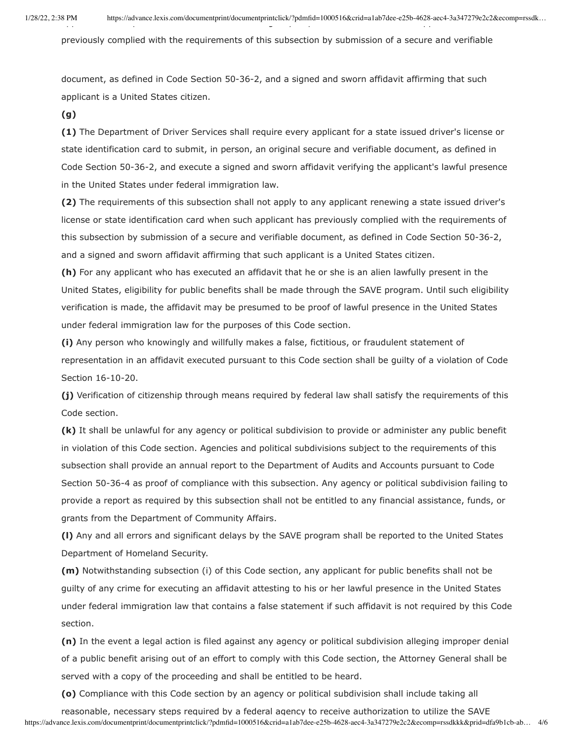previously complied with the requirements of this subsection by submission of a secure and verifiable

document, as defined in Code Section 50-36-2, and a signed and sworn affidavit affirming that such applicant is a United States citizen.

#### **(g)**

**(1)** The Department of Driver Services shall require every applicant for a state issued driver's license or state identification card to submit, in person, an original secure and verifiable document, as defined in Code Section 50-36-2, and execute a signed and sworn affidavit verifying the applicant's lawful presence in the United States under federal immigration law.

**(2)** The requirements of this subsection shall not apply to any applicant renewing a state issued driver's license or state identification card when such applicant has previously complied with the requirements of this subsection by submission of a secure and verifiable document, as defined in Code Section 50-36-2, and a signed and sworn affidavit affirming that such applicant is a United States citizen.

**(h)** For any applicant who has executed an affidavit that he or she is an alien lawfully present in the United States, eligibility for public benefits shall be made through the SAVE program. Until such eligibility verification is made, the affidavit may be presumed to be proof of lawful presence in the United States under federal immigration law for the purposes of this Code section.

**(i)** Any person who knowingly and willfully makes a false, fictitious, or fraudulent statement of representation in an affidavit executed pursuant to this Code section shall be guilty of a violation of Code Section 16-10-20.

**(j)** Verification of citizenship through means required by federal law shall satisfy the requirements of this Code section.

**(k)** It shall be unlawful for any agency or political subdivision to provide or administer any public benefit in violation of this Code section. Agencies and political subdivisions subject to the requirements of this subsection shall provide an annual report to the Department of Audits and Accounts pursuant to Code Section 50-36-4 as proof of compliance with this subsection. Any agency or political subdivision failing to provide a report as required by this subsection shall not be entitled to any financial assistance, funds, or grants from the Department of Community Affairs.

**(l)** Any and all errors and significant delays by the SAVE program shall be reported to the United States Department of Homeland Security.

**(m)** Notwithstanding subsection (i) of this Code section, any applicant for public benefits shall not be guilty of any crime for executing an affidavit attesting to his or her lawful presence in the United States under federal immigration law that contains a false statement if such affidavit is not required by this Code section.

**(n)** In the event a legal action is filed against any agency or political subdivision alleging improper denial of a public benefit arising out of an effort to comply with this Code section, the Attorney General shall be served with a copy of the proceeding and shall be entitled to be heard.

**(o)** Compliance with this Code section by an agency or political subdivision shall include taking all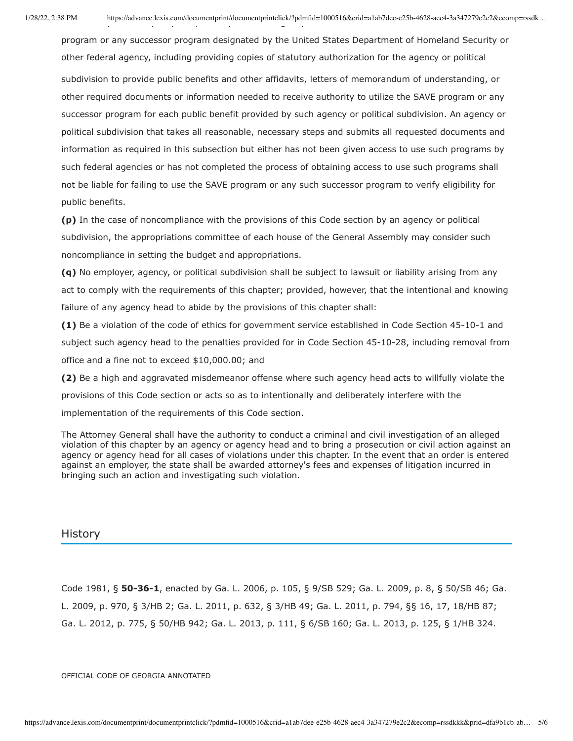program or any successor program designated by the United States Department of Homeland Security or other federal agency, including providing copies of statutory authorization for the agency or political subdivision to provide public benefits and other affidavits, letters of memorandum of understanding, or other required documents or information needed to receive authority to utilize the SAVE program or any successor program for each public benefit provided by such agency or political subdivision. An agency or political subdivision that takes all reasonable, necessary steps and submits all requested documents and information as required in this subsection but either has not been given access to use such programs by such federal agencies or has not completed the process of obtaining access to use such programs shall not be liable for failing to use the SAVE program or any such successor program to verify eligibility for public benefits.

**(p)** In the case of noncompliance with the provisions of this Code section by an agency or political subdivision, the appropriations committee of each house of the General Assembly may consider such noncompliance in setting the budget and appropriations.

**(q)** No employer, agency, or political subdivision shall be subject to lawsuit or liability arising from any act to comply with the requirements of this chapter; provided, however, that the intentional and knowing failure of any agency head to abide by the provisions of this chapter shall:

**(1)** Be a violation of the code of ethics for government service established in Code Section 45-10-1 and subject such agency head to the penalties provided for in Code Section 45-10-28, including removal from office and a fine not to exceed \$10,000.00; and

**(2)** Be a high and aggravated misdemeanor offense where such agency head acts to willfully violate the provisions of this Code section or acts so as to intentionally and deliberately interfere with the implementation of the requirements of this Code section.

The Attorney General shall have the authority to conduct a criminal and civil investigation of an alleged violation of this chapter by an agency or agency head and to bring a prosecution or civil action against an agency or agency head for all cases of violations under this chapter. In the event that an order is entered against an employer, the state shall be awarded attorney's fees and expenses of litigation incurred in bringing such an action and investigating such violation.

#### **History**

Code 1981, § **50-36-1**, enacted by Ga. L. 2006, p. 105, § 9/SB 529; Ga. L. 2009, p. 8, § 50/SB 46; Ga. L. 2009, p. 970, § 3/HB 2; Ga. L. 2011, p. 632, § 3/HB 49; Ga. L. 2011, p. 794, §§ 16, 17, 18/HB 87; Ga. L. 2012, p. 775, § 50/HB 942; Ga. L. 2013, p. 111, § 6/SB 160; Ga. L. 2013, p. 125, § 1/HB 324.

OFFICIAL CODE OF GEORGIA ANNOTATED